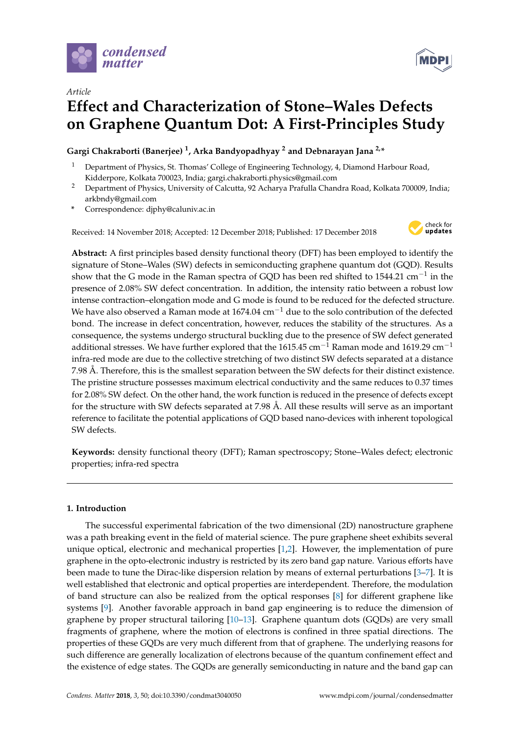



# *Article* **Effect and Characterization of Stone–Wales Defects on Graphene Quantum Dot: A First-Principles Study**

**Gargi Chakraborti (Banerjee) <sup>1</sup> , Arka Bandyopadhyay <sup>2</sup> and Debnarayan Jana 2,\***

- <sup>1</sup> Department of Physics, St. Thomas' College of Engineering Technology, 4, Diamond Harbour Road, Kidderpore, Kolkata 700023, India; gargi.chakraborti.physics@gmail.com
- <sup>2</sup> Department of Physics, University of Calcutta, 92 Acharya Prafulla Chandra Road, Kolkata 700009, India; arkbndy@gmail.com
- **\*** Correspondence: djphy@caluniv.ac.in

Received: 14 November 2018; Accepted: 12 December 2018; Published: 17 December 2018



**Abstract:** A first principles based density functional theory (DFT) has been employed to identify the signature of Stone–Wales (SW) defects in semiconducting graphene quantum dot (GQD). Results show that the G mode in the Raman spectra of GQD has been red shifted to 1544.21 cm $^{-1}$  in the presence of 2.08% SW defect concentration. In addition, the intensity ratio between a robust low intense contraction–elongation mode and G mode is found to be reduced for the defected structure. We have also observed a Raman mode at 1674.04  $cm^{-1}$  due to the solo contribution of the defected bond. The increase in defect concentration, however, reduces the stability of the structures. As a consequence, the systems undergo structural buckling due to the presence of SW defect generated additional stresses. We have further explored that the 1615.45 cm<sup>-1</sup> Raman mode and 1619.29 cm<sup>-1</sup> infra-red mode are due to the collective stretching of two distinct SW defects separated at a distance 7.98 Å. Therefore, this is the smallest separation between the SW defects for their distinct existence. The pristine structure possesses maximum electrical conductivity and the same reduces to 0.37 times for 2.08% SW defect. On the other hand, the work function is reduced in the presence of defects except for the structure with SW defects separated at 7.98 Å. All these results will serve as an important reference to facilitate the potential applications of GQD based nano-devices with inherent topological SW defects.

**Keywords:** density functional theory (DFT); Raman spectroscopy; Stone–Wales defect; electronic properties; infra-red spectra

# **1. Introduction**

The successful experimental fabrication of the two dimensional (2D) nanostructure graphene was a path breaking event in the field of material science. The pure graphene sheet exhibits several unique optical, electronic and mechanical properties [1,2]. However, the implementation of pure graphene in the opto-electronic industry is restricted by its zero band gap nature. Various efforts have been made to tune the Dirac-like dispersion relation by means of external perturbations [3–7]. It is well established that electronic and optical properties are interdependent. Therefore, the modulation of band structure can also be realized from the optical responses [8] for different graphene like systems [9]. Another favorable approach in band gap engineering is to reduce the dimension of graphene by proper structural tailoring [10–13]. Graphene quantum dots (GQDs) are very small fragments of graphene, where the motion of electrons is confined in three spatial directions. The properties of these GQDs are very much different from that of graphene. The underlying reasons for such difference are generally localization of electrons because of the quantum confinement effect and the existence of edge states. The GQDs are generally semiconducting in nature and the band gap can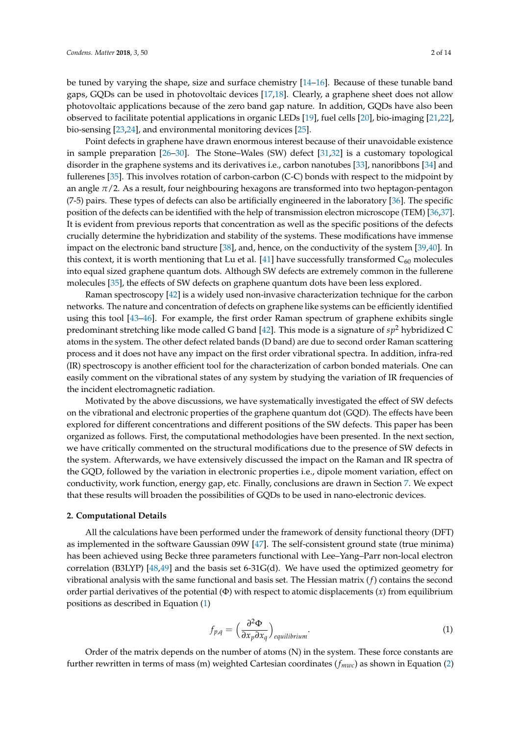be tuned by varying the shape, size and surface chemistry [14–16]. Because of these tunable band gaps, GQDs can be used in photovoltaic devices [17,18]. Clearly, a graphene sheet does not allow photovoltaic applications because of the zero band gap nature. In addition, GQDs have also been observed to facilitate potential applications in organic LEDs [19], fuel cells [20], bio-imaging [21,22], bio-sensing [23,24], and environmental monitoring devices [25].

Point defects in graphene have drawn enormous interest because of their unavoidable existence in sample preparation [26–30]. The Stone–Wales (SW) defect [31,32] is a customary topological disorder in the graphene systems and its derivatives i.e., carbon nanotubes [33], nanoribbons [34] and fullerenes [35]. This involves rotation of carbon-carbon (C-C) bonds with respect to the midpoint by an angle *π*/2. As a result, four neighbouring hexagons are transformed into two heptagon-pentagon (7-5) pairs. These types of defects can also be artificially engineered in the laboratory [36]. The specific position of the defects can be identified with the help of transmission electron microscope (TEM) [36,37]. It is evident from previous reports that concentration as well as the specific positions of the defects crucially determine the hybridization and stability of the systems. These modifications have immense impact on the electronic band structure [38], and, hence, on the conductivity of the system [39,40]. In this context, it is worth mentioning that Lu et al. [41] have successfully transformed  $C_{60}$  molecules into equal sized graphene quantum dots. Although SW defects are extremely common in the fullerene molecules [35], the effects of SW defects on graphene quantum dots have been less explored.

Raman spectroscopy [42] is a widely used non-invasive characterization technique for the carbon networks. The nature and concentration of defects on graphene like systems can be efficiently identified using this tool [43–46]. For example, the first order Raman spectrum of graphene exhibits single predominant stretching like mode called G band [42]. This mode is a signature of *sp*<sup>2</sup> hybridized C atoms in the system. The other defect related bands (D band) are due to second order Raman scattering process and it does not have any impact on the first order vibrational spectra. In addition, infra-red (IR) spectroscopy is another efficient tool for the characterization of carbon bonded materials. One can easily comment on the vibrational states of any system by studying the variation of IR frequencies of the incident electromagnetic radiation.

Motivated by the above discussions, we have systematically investigated the effect of SW defects on the vibrational and electronic properties of the graphene quantum dot (GQD). The effects have been explored for different concentrations and different positions of the SW defects. This paper has been organized as follows. First, the computational methodologies have been presented. In the next section, we have critically commented on the structural modifications due to the presence of SW defects in the system. Afterwards, we have extensively discussed the impact on the Raman and IR spectra of the GQD, followed by the variation in electronic properties i.e., dipole moment variation, effect on conductivity, work function, energy gap, etc. Finally, conclusions are drawn in Section 7. We expect that these results will broaden the possibilities of GQDs to be used in nano-electronic devices.

#### **2. Computational Details**

All the calculations have been performed under the framework of density functional theory (DFT) as implemented in the software Gaussian 09W [47]. The self-consistent ground state (true minima) has been achieved using Becke three parameters functional with Lee–Yang–Parr non-local electron correlation (B3LYP) [48,49] and the basis set 6-31G(d). We have used the optimized geometry for vibrational analysis with the same functional and basis set. The Hessian matrix (*f*) contains the second order partial derivatives of the potential (Φ) with respect to atomic displacements (*x*) from equilibrium positions as described in Equation (1)

$$
f_{p,q} = \left(\frac{\partial^2 \Phi}{\partial x_p \partial x_q}\right)_{equilibrium}.
$$
 (1)

Order of the matrix depends on the number of atoms (N) in the system. These force constants are further rewritten in terms of mass (m) weighted Cartesian coordinates (*fmwc*) as shown in Equation (2)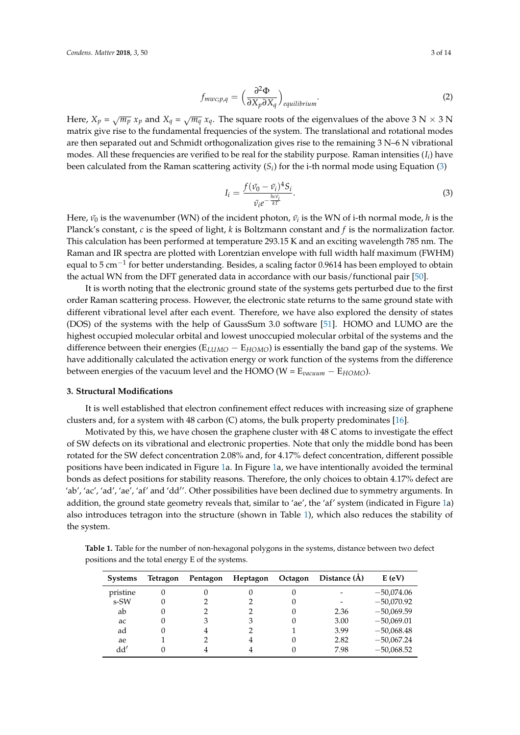$$
f_{mwc; p,q} = \left(\frac{\partial^2 \Phi}{\partial X_p \partial X_q}\right)_{equilibrium}.
$$
 (2)

Here,  $X_p = \sqrt{m_p} x_p$  and  $X_q = \sqrt{m_q} x_q$ . The square roots of the eigenvalues of the above 3 N  $\times$  3 N matrix give rise to the fundamental frequencies of the system. The translational and rotational modes are then separated out and Schmidt orthogonalization gives rise to the remaining 3 N–6 N vibrational modes. All these frequencies are verified to be real for the stability purpose. Raman intensities  $(I_i)$  have been calculated from the Raman scattering activity (*S<sup>i</sup>* ) for the i-th normal mode using Equation (3)

$$
I_i = \frac{f(\bar{v_0} - \bar{v_i})^4 S_i}{\bar{v_i} e^{-\frac{hc\bar{v_i}}{kT}}}.
$$
\n
$$
(3)
$$

Here, *ν*<sub>0</sub> is the wavenumber (WN) of the incident photon, *v*<sub>*i*</sub> is the WN of i-th normal mode, *h* is the Planck's constant, *c* is the speed of light, *k* is Boltzmann constant and *f* is the normalization factor. This calculation has been performed at temperature 293.15 K and an exciting wavelength 785 nm. The Raman and IR spectra are plotted with Lorentzian envelope with full width half maximum (FWHM) equal to 5 cm<sup>-1</sup> for better understanding. Besides, a scaling factor 0.9614 has been employed to obtain the actual WN from the DFT generated data in accordance with our basis/functional pair [50].

It is worth noting that the electronic ground state of the systems gets perturbed due to the first order Raman scattering process. However, the electronic state returns to the same ground state with different vibrational level after each event. Therefore, we have also explored the density of states (DOS) of the systems with the help of GaussSum 3.0 software [51]. HOMO and LUMO are the highest occupied molecular orbital and lowest unoccupied molecular orbital of the systems and the difference between their energies (E*LUMO* − E*HOMO*) is essentially the band gap of the systems. We have additionally calculated the activation energy or work function of the systems from the difference between energies of the vacuum level and the HOMO ( $W = E_{vacuum} - E_{HOMO}$ ).

#### **3. Structural Modifications**

It is well established that electron confinement effect reduces with increasing size of graphene clusters and, for a system with 48 carbon (C) atoms, the bulk property predominates [16].

Motivated by this, we have chosen the graphene cluster with 48 C atoms to investigate the effect of SW defects on its vibrational and electronic properties. Note that only the middle bond has been rotated for the SW defect concentration 2.08% and, for 4.17% defect concentration, different possible positions have been indicated in Figure 1a. In Figure 1a, we have intentionally avoided the terminal bonds as defect positions for stability reasons. Therefore, the only choices to obtain 4.17% defect are 'ab', 'ac', 'ad', 'ae', 'af' and 'dd′ '. Other possibilities have been declined due to symmetry arguments. In addition, the ground state geometry reveals that, similar to 'ae', the 'af' system (indicated in Figure 1a) also introduces tetragon into the structure (shown in Table 1), which also reduces the stability of the system.

**Table 1.** Table for the number of non-hexagonal polygons in the systems, distance between two defect positions and the total energy E of the systems.

| <b>Systems</b> | Tetragon | Pentagon | Heptagon | Octagon | Distance (A) | E(eV)        |
|----------------|----------|----------|----------|---------|--------------|--------------|
| pristine       | $\theta$ |          |          |         |              | $-50,074.06$ |
| s-SW           |          |          |          |         |              | $-50,070.92$ |
| ab             |          |          |          |         | 2.36         | $-50,069.59$ |
| ac             | $\theta$ |          |          | 0       | 3.00         | $-50,069.01$ |
| ad             |          |          |          |         | 3.99         | $-50,068.48$ |
| ae             |          |          |          |         | 2.82         | $-50,067.24$ |
| dd'            |          |          |          |         | 7.98         | $-50,068.52$ |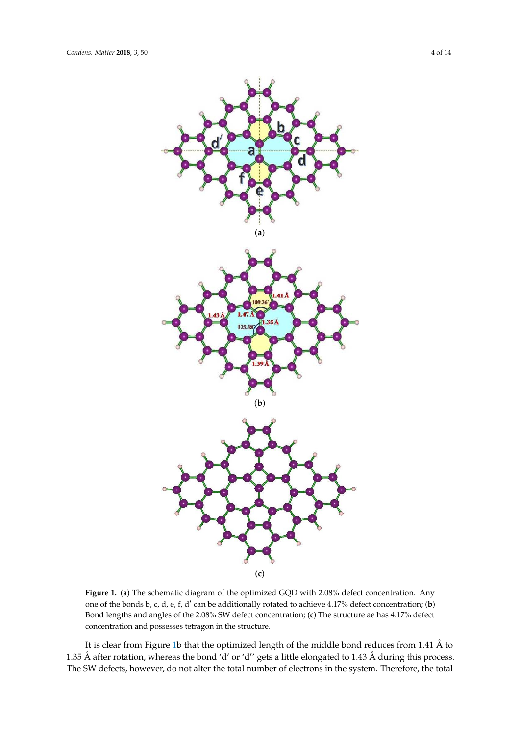

**Figure 1.** (**a**) The schematic diagram of the optimized GQD with 2.08% defect concentration. Any one of the bonds b, c, d, e, f, d′ can be additionally rotated to achieve 4.17% defect concentration; (**b**) Bond lengths and angles of the 2.08% SW defect concentration; (**c**) The structure ae has 4.17% defect concentration and possesses tetragon in the structure.

It is clear from Figure 1b that the optimized length of the middle bond reduces from 1.41 Å to 1.35 Å after rotation, whereas the bond 'd' or 'd′ ' gets a little elongated to 1.43 Å during this process. The SW defects, however, do not alter the total number of electrons in the system. Therefore, the total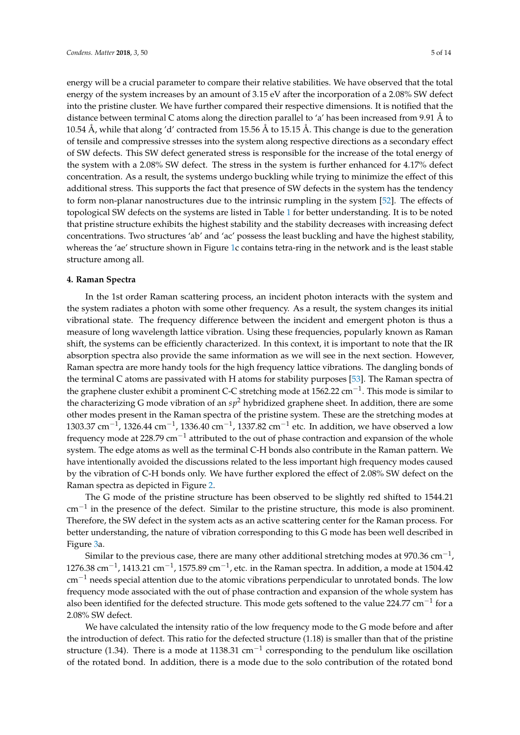energy will be a crucial parameter to compare their relative stabilities. We have observed that the total energy of the system increases by an amount of 3.15 eV after the incorporation of a 2.08% SW defect into the pristine cluster. We have further compared their respective dimensions. It is notified that the distance between terminal C atoms along the direction parallel to 'a' has been increased from 9.91 Å to 10.54 Å, while that along 'd' contracted from 15.56 Å to 15.15 Å. This change is due to the generation of tensile and compressive stresses into the system along respective directions as a secondary effect of SW defects. This SW defect generated stress is responsible for the increase of the total energy of the system with a 2.08% SW defect. The stress in the system is further enhanced for 4.17% defect concentration. As a result, the systems undergo buckling while trying to minimize the effect of this additional stress. This supports the fact that presence of SW defects in the system has the tendency to form non-planar nanostructures due to the intrinsic rumpling in the system [52]. The effects of topological SW defects on the systems are listed in Table 1 for better understanding. It is to be noted that pristine structure exhibits the highest stability and the stability decreases with increasing defect concentrations. Two structures 'ab' and 'ac' possess the least buckling and have the highest stability, whereas the 'ae' structure shown in Figure 1c contains tetra-ring in the network and is the least stable structure among all.

### **4. Raman Spectra**

In the 1st order Raman scattering process, an incident photon interacts with the system and the system radiates a photon with some other frequency. As a result, the system changes its initial vibrational state. The frequency difference between the incident and emergent photon is thus a measure of long wavelength lattice vibration. Using these frequencies, popularly known as Raman shift, the systems can be efficiently characterized. In this context, it is important to note that the IR absorption spectra also provide the same information as we will see in the next section. However, Raman spectra are more handy tools for the high frequency lattice vibrations. The dangling bonds of the terminal C atoms are passivated with H atoms for stability purposes [53]. The Raman spectra of the graphene cluster exhibit a prominent C-C stretching mode at 1562.22 cm<sup>-1</sup>. This mode is similar to the characterizing G mode vibration of an *sp*<sup>2</sup> hybridized graphene sheet. In addition, there are some other modes present in the Raman spectra of the pristine system. These are the stretching modes at 1303.37 cm<sup>-1</sup>, 1326.44 cm<sup>-1</sup>, 1336.40 cm<sup>-1</sup>, 1337.82 cm<sup>-1</sup> etc. In addition, we have observed a low frequency mode at 228.79 cm<sup> $-1$ </sup> attributed to the out of phase contraction and expansion of the whole system. The edge atoms as well as the terminal C-H bonds also contribute in the Raman pattern. We have intentionally avoided the discussions related to the less important high frequency modes caused by the vibration of C-H bonds only. We have further explored the effect of 2.08% SW defect on the Raman spectra as depicted in Figure 2.

The G mode of the pristine structure has been observed to be slightly red shifted to 1544.21 cm−<sup>1</sup> in the presence of the defect. Similar to the pristine structure, this mode is also prominent. Therefore, the SW defect in the system acts as an active scattering center for the Raman process. For better understanding, the nature of vibration corresponding to this G mode has been well described in Figure 3a.

Similar to the previous case, there are many other additional stretching modes at 970.36 cm $^{-1}$ , 1276.38 cm<sup>-1</sup>, 1413.21 cm<sup>-1</sup>, 1575.89 cm<sup>-1</sup>, etc. in the Raman spectra. In addition, a mode at 1504.42  $\text{cm}^{-1}$  needs special attention due to the atomic vibrations perpendicular to unrotated bonds. The low frequency mode associated with the out of phase contraction and expansion of the whole system has also been identified for the defected structure. This mode gets softened to the value 224.77 cm<sup>-1</sup> for a 2.08% SW defect.

We have calculated the intensity ratio of the low frequency mode to the G mode before and after the introduction of defect. This ratio for the defected structure (1.18) is smaller than that of the pristine structure (1.34). There is a mode at 1138.31 cm<sup>-1</sup> corresponding to the pendulum like oscillation of the rotated bond. In addition, there is a mode due to the solo contribution of the rotated bond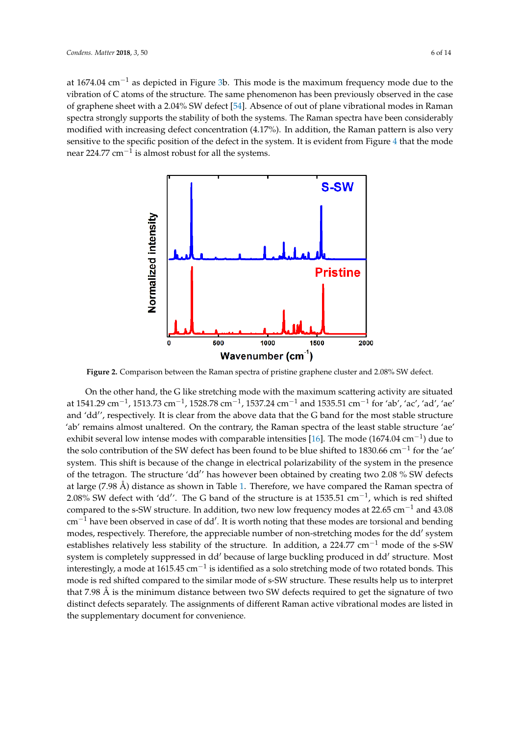at 1674.04 cm<sup>-1</sup> as depicted in Figure 3b. This mode is the maximum frequency mode due to the vibration of C atoms of the structure. The same phenomenon has been previously observed in the case of graphene sheet with a 2.04% SW defect [54]. Absence of out of plane vibrational modes in Raman spectra strongly supports the stability of both the systems. The Raman spectra have been considerably modified with increasing defect concentration (4.17%). In addition, the Raman pattern is also very sensitive to the specific position of the defect in the system. It is evident from Figure 4 that the mode near 224.77  $cm^{-1}$  is almost robust for all the systems.



**Figure 2.** Comparison between the Raman spectra of pristine graphene cluster and 2.08% SW defect.

On the other hand, the G like stretching mode with the maximum scattering activity are situated at 1541.29 cm $^{-1}$ , 1513.73 cm $^{-1}$ , 1528.78 cm $^{-1}$ , 1537.24 cm $^{-1}$  and 1535.51 cm $^{-1}$  for 'ab', 'ac', 'ad', 'ae' and 'dd'', respectively. It is clear from the above data that the G band for the most stable structure 'ab' remains almost unaltered. On the contrary, the Raman spectra of the least stable structure 'ae' exhibit several low intense modes with comparable intensities [16]. The mode (1674.04  $cm^{-1}$ ) due to the solo contribution of the SW defect has been found to be blue shifted to 1830.66 cm−<sup>1</sup> for the 'ae' system. This shift is because of the change in electrical polarizability of the system in the presence of the tetragon. The structure 'dd′ ' has however been obtained by creating two 2.08 % SW defects at large (7.98 Å) distance as shown in Table 1. Therefore, we have compared the Raman spectra of 2.08% SW defect with 'dd''. The G band of the structure is at 1535.51 cm<sup>-1</sup>, which is red shifted compared to the s-SW structure. In addition, two new low frequency modes at 22.65 cm−<sup>1</sup> and 43.08  $cm^{-1}$  have been observed in case of dd'. It is worth noting that these modes are torsional and bending modes, respectively. Therefore, the appreciable number of non-stretching modes for the dd′ system establishes relatively less stability of the structure. In addition, a 224.77 cm<sup>-1</sup> mode of the s-SW system is completely suppressed in dd′ because of large buckling produced in dd′ structure. Most interestingly, a mode at 1615.45  $cm^{-1}$  is identified as a solo stretching mode of two rotated bonds. This mode is red shifted compared to the similar mode of s-SW structure. These results help us to interpret that 7.98 Å is the minimum distance between two SW defects required to get the signature of two distinct defects separately. The assignments of different Raman active vibrational modes are listed in the supplementary document for convenience.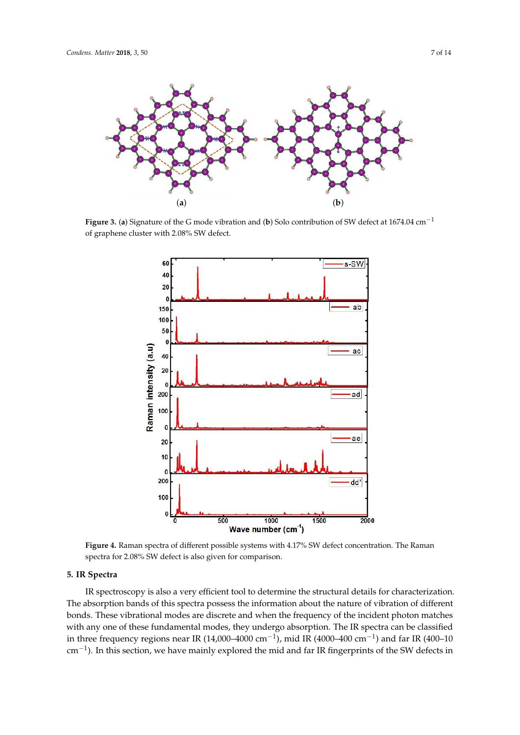

**Figure 3.** (**a**) Signature of the G mode vibration and (**b**) Solo contribution of SW defect at 1674.04 cm−<sup>1</sup> of graphene cluster with 2.08% SW defect.



**Figure 4.** Raman spectra of different possible systems with 4.17% SW defect concentration. The Raman spectra for 2.08% SW defect is also given for comparison.

#### **5. IR Spectra**

IR spectroscopy is also a very efficient tool to determine the structural details for characterization. The absorption bands of this spectra possess the information about the nature of vibration of different bonds. These vibrational modes are discrete and when the frequency of the incident photon matches with any one of these fundamental modes, they undergo absorption. The IR spectra can be classified in three frequency regions near IR (14,000–4000 cm<sup>-1</sup>), mid IR (4000–400 cm<sup>-1</sup>) and far IR (400–10 cm<sup>-1</sup>). In this section, we have mainly explored the mid and far IR fingerprints of the SW defects in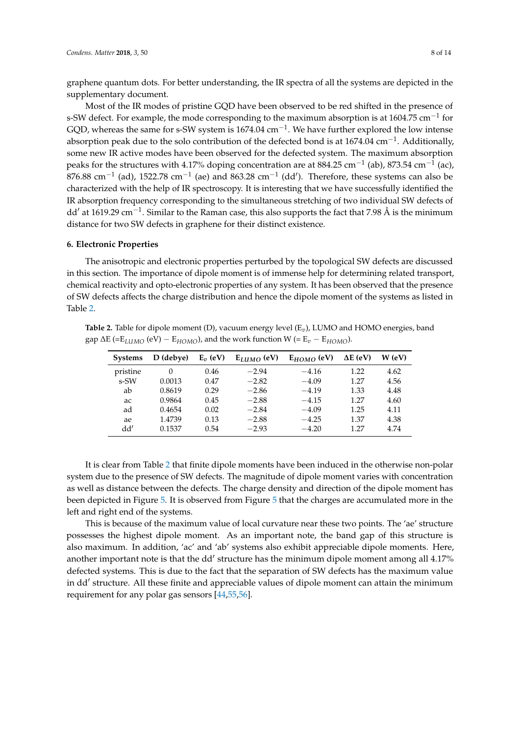graphene quantum dots. For better understanding, the IR spectra of all the systems are depicted in the supplementary document.

Most of the IR modes of pristine GQD have been observed to be red shifted in the presence of s-SW defect. For example, the mode corresponding to the maximum absorption is at 1604.75  $cm^{-1}$  for GQD, whereas the same for s-SW system is 1674.04 cm<sup>-1</sup>. We have further explored the low intense absorption peak due to the solo contribution of the defected bond is at 1674.04 cm<sup>-1</sup>. Additionally, some new IR active modes have been observed for the defected system. The maximum absorption peaks for the structures with 4.17% doping concentration are at 884.25 cm $^{-1}$  (ab), 873.54 cm $^{-1}$  (ac),  $876.88$  cm<sup>-1</sup> (ad), 1522.78 cm<sup>-1</sup> (ae) and  $863.28$  cm<sup>-1</sup> (dd'). Therefore, these systems can also be characterized with the help of IR spectroscopy. It is interesting that we have successfully identified the IR absorption frequency corresponding to the simultaneous stretching of two individual SW defects of dd′ at 1619.29 cm−<sup>1</sup> . Similar to the Raman case, this also supports the fact that 7.98 Å is the minimum distance for two SW defects in graphene for their distinct existence.

### **6. Electronic Properties**

The anisotropic and electronic properties perturbed by the topological SW defects are discussed in this section. The importance of dipole moment is of immense help for determining related transport, chemical reactivity and opto-electronic properties of any system. It has been observed that the presence of SW defects affects the charge distribution and hence the dipole moment of the systems as listed in Table 2.

**Table 2.** Table for dipole moment (D), vacuum energy level (E*v*), LUMO and HOMO energies, band gap  $\Delta E$  (= $E_{LUMO}$  (eV) –  $E_{HOMO}$ ), and the work function W (=  $E_v - E_{HOMO}$ ).

| <b>Systems</b> | D (debye) | $E_{\nu}$ (eV) | $E_{LUMO}$ (eV) | $E_{HOMO}$ (eV) | $\Delta E$ (eV) | W (eV) |
|----------------|-----------|----------------|-----------------|-----------------|-----------------|--------|
| pristine       | 0         | 0.46           | $-2.94$         | $-4.16$         | 1.22            | 4.62   |
| s-SW           | 0.0013    | 0.47           | $-2.82$         | $-4.09$         | 1.27            | 4.56   |
| ab             | 0.8619    | 0.29           | $-2.86$         | $-4.19$         | 1.33            | 4.48   |
| ac             | 0.9864    | 0.45           | $-2.88$         | $-4.15$         | 1.27            | 4.60   |
| ad             | 0.4654    | 0.02           | $-2.84$         | $-4.09$         | 1.25            | 4.11   |
| ae             | 1.4739    | 0.13           | $-2.88$         | $-4.25$         | 1.37            | 4.38   |
| dd'            | 0.1537    | 0.54           | $-2.93$         | $-4.20$         | 1.27            | 4.74   |

It is clear from Table 2 that finite dipole moments have been induced in the otherwise non-polar system due to the presence of SW defects. The magnitude of dipole moment varies with concentration as well as distance between the defects. The charge density and direction of the dipole moment has been depicted in Figure 5. It is observed from Figure 5 that the charges are accumulated more in the left and right end of the systems.

This is because of the maximum value of local curvature near these two points. The 'ae' structure possesses the highest dipole moment. As an important note, the band gap of this structure is also maximum. In addition, 'ac' and 'ab' systems also exhibit appreciable dipole moments. Here, another important note is that the dd' structure has the minimum dipole moment among all  $4.17\%$ defected systems. This is due to the fact that the separation of SW defects has the maximum value in dd′ structure. All these finite and appreciable values of dipole moment can attain the minimum requirement for any polar gas sensors [44,55,56].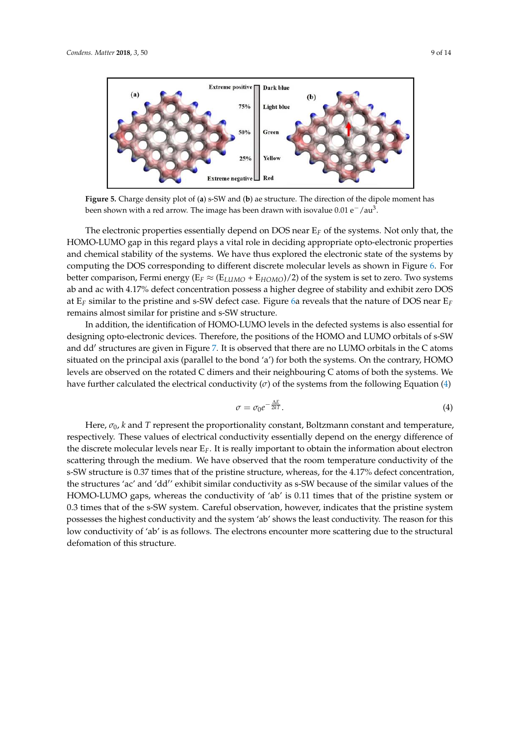

**Figure 5.** Charge density plot of (**a**) s-SW and (**b**) ae structure. The direction of the dipole moment has been shown with a red arrow. The image has been drawn with isovalue 0.01 e $^-$  / au $^3$ .

The electronic properties essentially depend on DOS near  $E_F$  of the systems. Not only that, the HOMO-LUMO gap in this regard plays a vital role in deciding appropriate opto-electronic properties and chemical stability of the systems. We have thus explored the electronic state of the systems by computing the DOS corresponding to different discrete molecular levels as shown in Figure 6. For better comparison, Fermi energy ( $E_F \approx (E_{LUMO} + E_{HOMO})/2)$  of the system is set to zero. Two systems ab and ac with 4.17% defect concentration possess a higher degree of stability and exhibit zero DOS at E*<sup>F</sup>* similar to the pristine and s-SW defect case. Figure 6a reveals that the nature of DOS near E*<sup>F</sup>* remains almost similar for pristine and s-SW structure.

In addition, the identification of HOMO-LUMO levels in the defected systems is also essential for designing opto-electronic devices. Therefore, the positions of the HOMO and LUMO orbitals of s-SW and dd′ structures are given in Figure 7. It is observed that there are no LUMO orbitals in the C atoms situated on the principal axis (parallel to the bond 'a') for both the systems. On the contrary, HOMO levels are observed on the rotated C dimers and their neighbouring C atoms of both the systems. We have further calculated the electrical conductivity  $(\sigma)$  of the systems from the following Equation (4)

$$
\sigma = \sigma_0 e^{-\frac{\Delta E}{2kT}}.\tag{4}
$$

Here,  $\sigma_0$ , *k* and *T* represent the proportionality constant, Boltzmann constant and temperature, respectively. These values of electrical conductivity essentially depend on the energy difference of the discrete molecular levels near E*F*. It is really important to obtain the information about electron scattering through the medium. We have observed that the room temperature conductivity of the s-SW structure is 0.37 times that of the pristine structure, whereas, for the 4.17% defect concentration, the structures 'ac' and 'dd′ ' exhibit similar conductivity as s-SW because of the similar values of the HOMO-LUMO gaps, whereas the conductivity of 'ab' is 0.11 times that of the pristine system or 0.3 times that of the s-SW system. Careful observation, however, indicates that the pristine system possesses the highest conductivity and the system 'ab' shows the least conductivity. The reason for this low conductivity of 'ab' is as follows. The electrons encounter more scattering due to the structural defomation of this structure.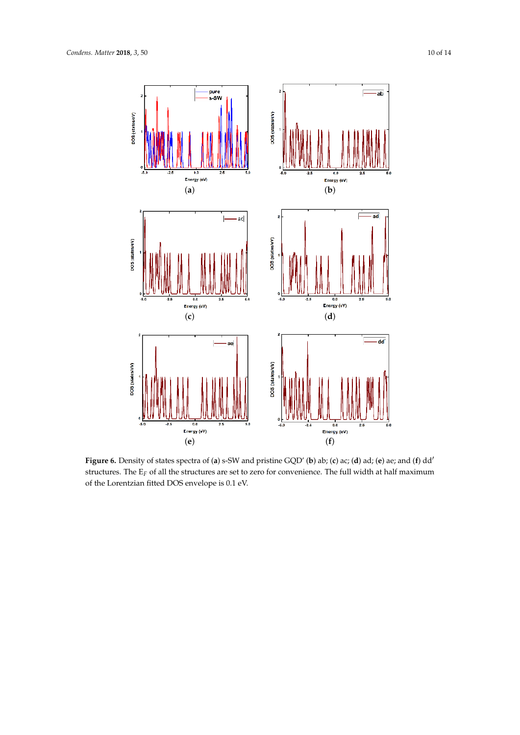

**Figure 6.** Density of states spectra of (**a**) s-SW and pristine GQD' (**b**) ab; (**c**) ac; (**d**) ad; (**e**) ae; and (**f**) dd′ structures. The E*<sup>F</sup>* of all the structures are set to zero for convenience. The full width at half maximum of the Lorentzian fitted DOS envelope is 0.1 eV.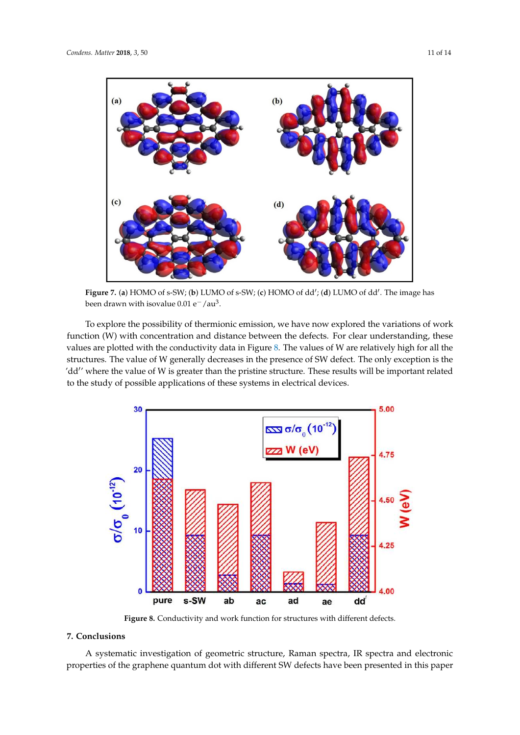

**Figure 7.** (**a**) HOMO of s-SW; (**b**) LUMO of s-SW; (**c**) HOMO of dd′ ; (**d**) LUMO of dd′ . The image has been drawn with isovalue 0.01 e $^-$ /au $^3$ .

To explore the possibility of thermionic emission, we have now explored the variations of work function (W) with concentration and distance between the defects. For clear understanding, these values are plotted with the conductivity data in Figure 8. The values of W are relatively high for all the structures. The value of W generally decreases in the presence of SW defect. The only exception is the 'dd′ ' where the value of W is greater than the pristine structure. These results will be important related to the study of possible applications of these systems in electrical devices.



Figure 8. Conductivity and work function for structures with different defects.

# **7. Conclusions**

A systematic investigation of geometric structure, Raman spectra, IR spectra and electronic properties of the graphene quantum dot with different SW defects have been presented in this paper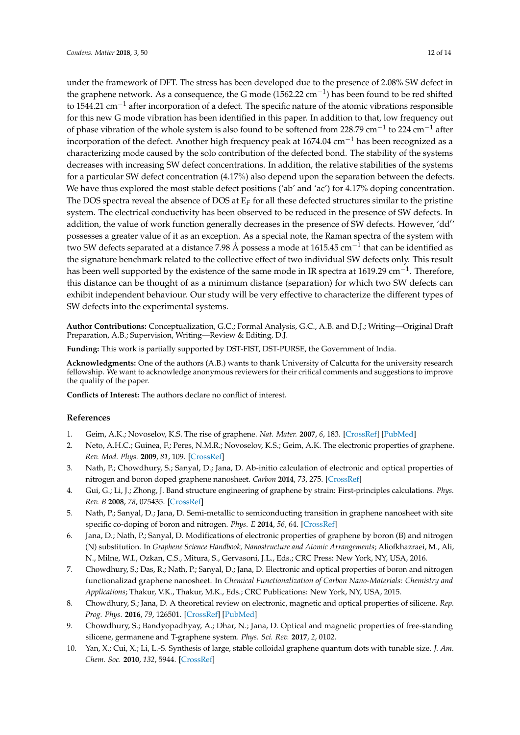under the framework of DFT. The stress has been developed due to the presence of 2.08% SW defect in the graphene network. As a consequence, the G mode (1562.22 cm<sup>-1</sup>) has been found to be red shifted to 1544.21 cm<sup>-1</sup> after incorporation of a defect. The specific nature of the atomic vibrations responsible for this new G mode vibration has been identified in this paper. In addition to that, low frequency out of phase vibration of the whole system is also found to be softened from 228.79 cm<sup>-1</sup> to 224 cm<sup>-1</sup> after incorporation of the defect. Another high frequency peak at  $1674.04 \text{ cm}^{-1}$  has been recognized as a characterizing mode caused by the solo contribution of the defected bond. The stability of the systems decreases with increasing SW defect concentrations. In addition, the relative stabilities of the systems for a particular SW defect concentration (4.17%) also depend upon the separation between the defects. We have thus explored the most stable defect positions ('ab' and 'ac') for 4.17% doping concentration. The DOS spectra reveal the absence of DOS at E*<sup>F</sup>* for all these defected structures similar to the pristine system. The electrical conductivity has been observed to be reduced in the presence of SW defects. In addition, the value of work function generally decreases in the presence of SW defects. However, 'dd′ ' possesses a greater value of it as an exception. As a special note, the Raman spectra of the system with two SW defects separated at a distance 7.98 Å possess a mode at 1615.45 cm $^{-1}$  that can be identified as the signature benchmark related to the collective effect of two individual SW defects only. This result has been well supported by the existence of the same mode in IR spectra at 1619.29 cm $^{-1}$ . Therefore, this distance can be thought of as a minimum distance (separation) for which two SW defects can exhibit independent behaviour. Our study will be very effective to characterize the different types of SW defects into the experimental systems.

**Author Contributions:** Conceptualization, G.C.; Formal Analysis, G.C., A.B. and D.J.; Writing—Original Draft Preparation, A.B.; Supervision, Writing—Review & Editing, D.J.

**Funding:** This work is partially supported by DST-FIST, DST-PURSE, the Government of India.

**Acknowledgments:** One of the authors (A.B.) wants to thank University of Calcutta for the university research fellowship. We want to acknowledge anonymous reviewers for their critical comments and suggestions to improve the quality of the paper.

**Conflicts of Interest:** The authors declare no conflict of interest.

#### **References**

- 1. Geim, A.K.; Novoselov, K.S. The rise of graphene. *Nat. Mater.* **2007**, *6*, 183. [CrossRef] [PubMed]
- 2. Neto, A.H.C.; Guinea, F.; Peres, N.M.R.; Novoselov, K.S.; Geim, A.K. The electronic properties of graphene. *Rev. Mod. Phys.* **2009**, *81*, 109. [CrossRef]
- 3. Nath, P.; Chowdhury, S.; Sanyal, D.; Jana, D. Ab-initio calculation of electronic and optical properties of nitrogen and boron doped graphene nanosheet. *Carbon* **2014**, *73*, 275. [CrossRef]
- 4. Gui, G.; Li, J.; Zhong, J. Band structure engineering of graphene by strain: First-principles calculations. *Phys. Rev. B* **2008**, *78*, 075435. [CrossRef]
- 5. Nath, P.; Sanyal, D.; Jana, D. Semi-metallic to semiconducting transition in graphene nanosheet with site specific co-doping of boron and nitrogen. *Phys. E* **2014**, *56*, 64. [CrossRef]
- 6. Jana, D.; Nath, P.; Sanyal, D. Modifications of electronic properties of graphene by boron (B) and nitrogen (N) substitution. In *Graphene Science Handbook, Nanostructure and Atomic Arrangements*; Aliofkhazraei, M., Ali, N., Milne, W.I., Ozkan, C.S., Mitura, S., Gervasoni, J.L., Eds.; CRC Press: New York, NY, USA, 2016.
- 7. Chowdhury, S.; Das, R.; Nath, P.; Sanyal, D.; Jana, D. Electronic and optical properties of boron and nitrogen functionalizad graphene nanosheet. In *Chemical Functionalization of Carbon Nano-Materials: Chemistry and Applications*; Thakur, V.K., Thakur, M.K., Eds.; CRC Publications: New York, NY, USA, 2015.
- 8. Chowdhury, S.; Jana, D. A theoretical review on electronic, magnetic and optical properties of silicene. *Rep. Prog. Phys.* **2016**, *79*, 126501. [CrossRef] [PubMed]
- 9. Chowdhury, S.; Bandyopadhyay, A.; Dhar, N.; Jana, D. Optical and magnetic properties of free-standing silicene, germanene and T-graphene system. *Phys. Sci. Rev.* **2017**, *2*, 0102.
- 10. Yan, X.; Cui, X.; Li, L.-S. Synthesis of large, stable colloidal graphene quantum dots with tunable size. *J. Am. Chem. Soc.* **2010**, *132*, 5944. [CrossRef]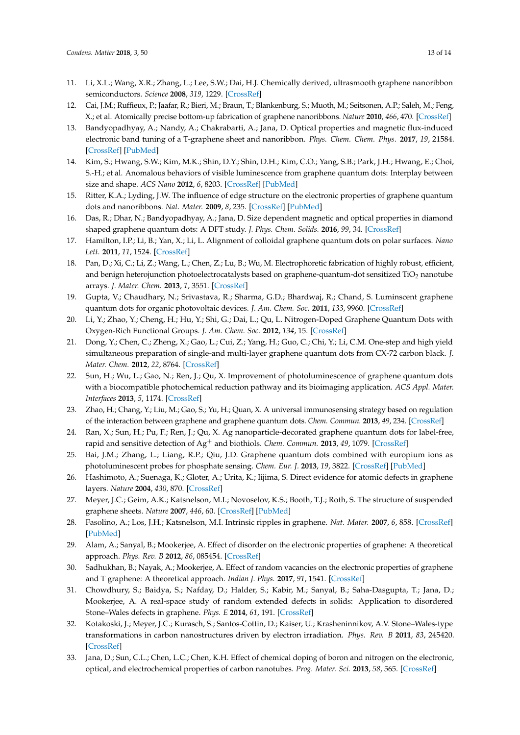- 11. Li, X.L.; Wang, X.R.; Zhang, L.; Lee, S.W.; Dai, H.J. Chemically derived, ultrasmooth graphene nanoribbon semiconductors. *Science* **2008**, *319*, 1229. [CrossRef]
- 12. Cai, J.M.; Ruffieux, P.; Jaafar, R.; Bieri, M.; Braun, T.; Blankenburg, S.; Muoth, M.; Seitsonen, A.P.; Saleh, M.; Feng, X.; et al. Atomically precise bottom-up fabrication of graphene nanoribbons. *Nature* **2010**, *466*, 470. [CrossRef]
- 13. Bandyopadhyay, A.; Nandy, A.; Chakrabarti, A.; Jana, D. Optical properties and magnetic flux-induced electronic band tuning of a T-graphene sheet and nanoribbon. *Phys. Chem. Chem. Phys.* **2017**, *19*, 21584. [CrossRef] [PubMed]
- 14. Kim, S.; Hwang, S.W.; Kim, M.K.; Shin, D.Y.; Shin, D.H.; Kim, C.O.; Yang, S.B.; Park, J.H.; Hwang, E.; Choi, S.-H.; et al. Anomalous behaviors of visible luminescence from graphene quantum dots: Interplay between size and shape. *ACS Nano* **2012**, *6*, 8203. [CrossRef] [PubMed]
- 15. Ritter, K.A.; Lyding, J.W. The influence of edge structure on the electronic properties of graphene quantum dots and nanoribbons. *Nat. Mater.* **2009**, *8*, 235. [CrossRef] [PubMed]
- 16. Das, R.; Dhar, N.; Bandyopadhyay, A.; Jana, D. Size dependent magnetic and optical properties in diamond shaped graphene quantum dots: A DFT study. *J. Phys. Chem. Solids.* **2016**, *99*, 34. [CrossRef]
- 17. Hamilton, I.P.; Li, B.; Yan, X.; Li, L. Alignment of colloidal graphene quantum dots on polar surfaces. *Nano Lett.* **2011**, *11*, 1524. [CrossRef]
- 18. Pan, D.; Xi, C.; Li, Z.; Wang, L.; Chen, Z.; Lu, B.; Wu, M. Electrophoretic fabrication of highly robust, efficient, and benign heterojunction photoelectrocatalysts based on graphene-quantum-dot sensitized TiO<sub>2</sub> nanotube arrays. *J. Mater. Chem.* **2013**, *1*, 3551. [CrossRef]
- 19. Gupta, V.; Chaudhary, N.; Srivastava, R.; Sharma, G.D.; Bhardwaj, R.; Chand, S. Luminscent graphene quantum dots for organic photovoltaic devices. *J. Am. Chem. Soc.* **2011**, *133*, 9960. [CrossRef]
- 20. Li, Y.; Zhao, Y.; Cheng, H.; Hu, Y.; Shi, G.; Dai, L.; Qu, L. Nitrogen-Doped Graphene Quantum Dots with Oxygen-Rich Functional Groups. *J. Am. Chem. Soc.* **2012**, *134*, 15. [CrossRef]
- 21. Dong, Y.; Chen, C.; Zheng, X.; Gao, L.; Cui, Z.; Yang, H.; Guo, C.; Chi, Y.; Li, C.M. One-step and high yield simultaneous preparation of single-and multi-layer graphene quantum dots from CX-72 carbon black. *J. Mater. Chem.* **2012**, *22*, 8764. [CrossRef]
- 22. Sun, H.; Wu, L.; Gao, N.; Ren, J.; Qu, X. Improvement of photoluminescence of graphene quantum dots with a biocompatible photochemical reduction pathway and its bioimaging application. *ACS Appl. Mater. Interfaces* **2013**, *5*, 1174. [CrossRef]
- 23. Zhao, H.; Chang, Y.; Liu, M.; Gao, S.; Yu, H.; Quan, X. A universal immunosensing strategy based on regulation of the interaction between graphene and graphene quantum dots. *Chem. Commun.* **2013**, *49*, 234. [CrossRef]
- 24. Ran, X.; Sun, H.; Pu, F.; Ren, J.; Qu, X. Ag nanoparticle-decorated graphene quantum dots for label-free, rapid and sensitive detection of Ag<sup>+</sup> and biothiols. *Chem. Commun.* **2013**, *49*, 1079. [CrossRef]
- 25. Bai, J.M.; Zhang, L.; Liang, R.P.; Qiu, J.D. Graphene quantum dots combined with europium ions as photoluminescent probes for phosphate sensing. *Chem. Eur. J.* **2013**, *19*, 3822. [CrossRef] [PubMed]
- 26. Hashimoto, A.; Suenaga, K.; Gloter, A.; Urita, K.; Iijima, S. Direct evidence for atomic defects in graphene layers. *Nature* **2004**, *430*, 870. [CrossRef]
- 27. Meyer, J.C.; Geim, A.K.; Katsnelson, M.I.; Novoselov, K.S.; Booth, T.J.; Roth, S. The structure of suspended graphene sheets. *Nature* **2007**, *446*, 60. [CrossRef] [PubMed]
- 28. Fasolino, A.; Los, J.H.; Katsnelson, M.I. Intrinsic ripples in graphene. *Nat. Mater.* **2007**, *6*, 858. [CrossRef] [PubMed]
- 29. Alam, A.; Sanyal, B.; Mookerjee, A. Effect of disorder on the electronic properties of graphene: A theoretical approach. *Phys. Rev. B* **2012**, *86*, 085454. [CrossRef]
- 30. Sadhukhan, B.; Nayak, A.; Mookerjee, A. Effect of random vacancies on the electronic properties of graphene and T graphene: A theoretical approach. *Indian J. Phys.* **2017**, *91*, 1541. [CrossRef]
- 31. Chowdhury, S.; Baidya, S.; Nafday, D.; Halder, S.; Kabir, M.; Sanyal, B.; Saha-Dasgupta, T.; Jana, D.; Mookerjee, A. A real-space study of random extended defects in solids: Application to disordered Stone–Wales defects in graphene. *Phys. E* **2014**, *61*, 191. [CrossRef]
- 32. Kotakoski, J.; Meyer, J.C.; Kurasch, S.; Santos-Cottin, D.; Kaiser, U.; Krasheninnikov, A.V. Stone–Wales-type transformations in carbon nanostructures driven by electron irradiation. *Phys. Rev. B* **2011**, *83*, 245420. [CrossRef]
- 33. Jana, D.; Sun, C.L.; Chen, L.C.; Chen, K.H. Effect of chemical doping of boron and nitrogen on the electronic, optical, and electrochemical properties of carbon nanotubes. *Prog. Mater. Sci.* **2013**, *58*, 565. [CrossRef]